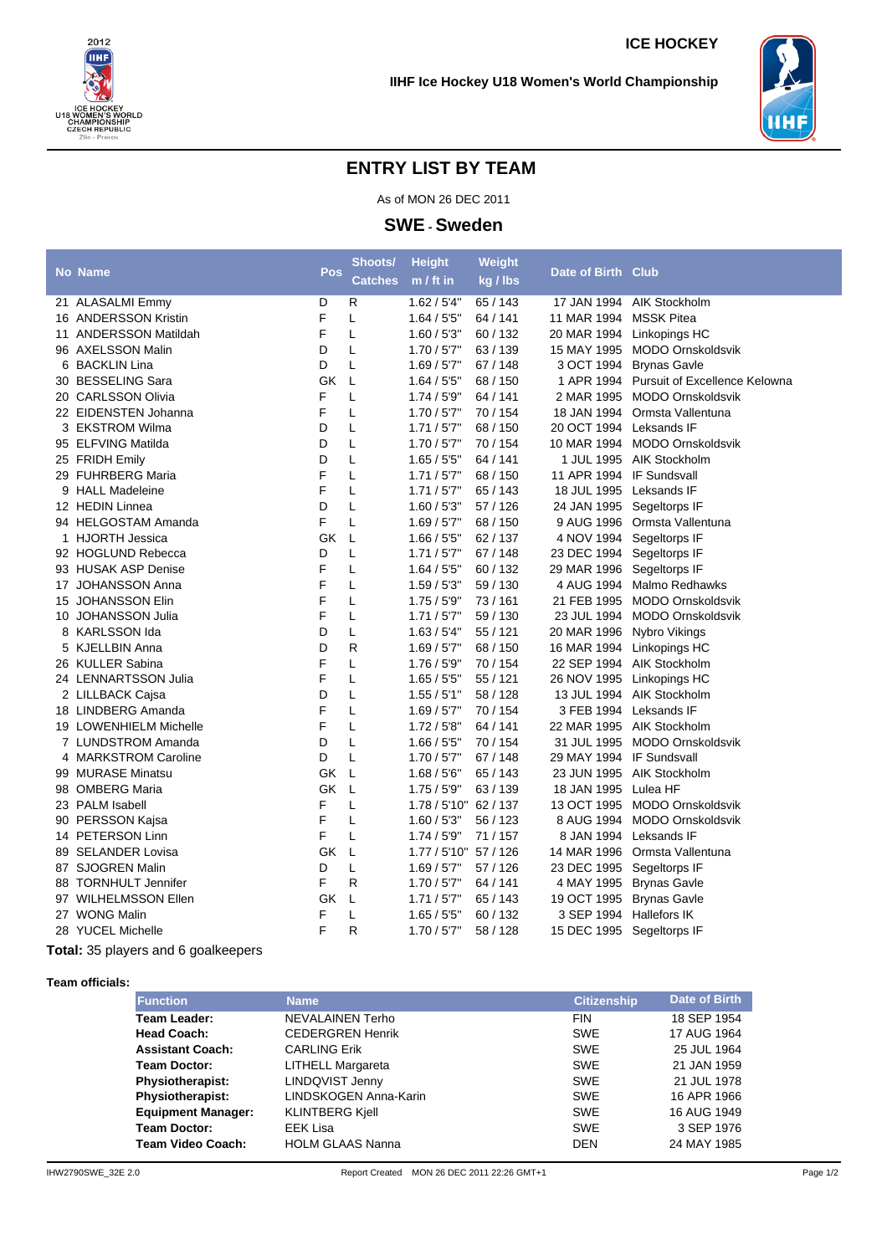**IIHF Ice Hockey U18 Women's World Championship**

## **ENTRY LIST BY TEAM**

As of MON 26 DEC 2011

**SWE - Sweden**

|                                                           | <b>No Name</b>         | Pos | Shoots/<br><b>Catches</b> | <b>Height</b><br>$m / ft$ in | Weight<br>kg / lbs | Date of Birth Club        |                                          |  |
|-----------------------------------------------------------|------------------------|-----|---------------------------|------------------------------|--------------------|---------------------------|------------------------------------------|--|
|                                                           | 21 ALASALMI Emmy       | D   | R                         | 1.62 / 5'4"                  | 65 / 143           | 17 JAN 1994               | AIK Stockholm                            |  |
|                                                           | 16 ANDERSSON Kristin   | F   | L                         | 1.64 / 55"                   | 64 / 141           | 11 MAR 1994               | <b>MSSK Pitea</b>                        |  |
|                                                           | 11 ANDERSSON Matildah  | F   | L                         | 1.60 / 5'3''                 | 60/132             |                           | 20 MAR 1994 Linkopings HC                |  |
|                                                           | 96 AXELSSON Malin      | D   | L                         | 1.70 / 5'7''                 | 63 / 139           |                           | 15 MAY 1995 MODO Ornskoldsvik            |  |
| 6                                                         | <b>BACKLIN Lina</b>    | D   | L                         | 1.69 / 5'7''                 | 67 / 148           |                           | 3 OCT 1994 Brynas Gavle                  |  |
|                                                           | 30 BESSELING Sara      | GK  | L                         | 1.64 / 55"                   | 68 / 150           |                           | 1 APR 1994 Pursuit of Excellence Kelowna |  |
|                                                           | 20 CARLSSON Olivia     | F   | L                         | 1.74/5'9''                   | 64 / 141           |                           | 2 MAR 1995 MODO Ornskoldsvik             |  |
|                                                           | 22 EIDENSTEN Johanna   | F   | L                         | 1.70 / 5'7"                  | 70/154             |                           | 18 JAN 1994 Ormsta Vallentuna            |  |
|                                                           | 3 EKSTROM Wilma        | D   | L                         | 1.71/5'7"                    | 68 / 150           | 20 OCT 1994 Leksands IF   |                                          |  |
|                                                           | 95 ELFVING Matilda     | D   | L                         | 1.70 / 5'7''                 | 70 / 154           |                           | 10 MAR 1994 MODO Ornskoldsvik            |  |
|                                                           | 25 FRIDH Emily         | D   | L                         | 1.65 / 55"                   | 64 / 141           |                           | 1 JUL 1995 AIK Stockholm                 |  |
|                                                           | 29 FUHRBERG Maria      | F   | L                         | 1.71/57"                     | 68 / 150           | 11 APR 1994 IF Sundsvall  |                                          |  |
|                                                           | 9 HALL Madeleine       | F   | L                         | 1.71/5'7"                    | 65 / 143           | 18 JUL 1995 Leksands IF   |                                          |  |
|                                                           | 12 HEDIN Linnea        | D   | L                         | 1.60 / 5'3''                 | 57 / 126           | 24 JAN 1995 Segeltorps IF |                                          |  |
|                                                           | 94 HELGOSTAM Amanda    | F   | L                         | 1.69/5'7"                    | 68 / 150           |                           | 9 AUG 1996 Ormsta Vallentuna             |  |
| 1                                                         | <b>HJORTH Jessica</b>  | GK  | L                         | $1.66 / 55$ "                | 62/137             | 4 NOV 1994                | Segeltorps IF                            |  |
|                                                           | 92 HOGLUND Rebecca     | D   | L                         | 1.71/5'7"                    | 67 / 148           | 23 DEC 1994               | Segeltorps IF                            |  |
|                                                           | 93 HUSAK ASP Denise    | F   | L                         | 1.64 / 5'5"                  | 60/132             | 29 MAR 1996               | Segeltorps IF                            |  |
|                                                           | 17 JOHANSSON Anna      | F   | L                         | 1.59/5'3''                   | 59 / 130           |                           | 4 AUG 1994 Malmo Redhawks                |  |
|                                                           | 15 JOHANSSON Elin      | F   | L                         | 1.75/5'9"                    | 73/161             | 21 FEB 1995               | MODO Ornskoldsvik                        |  |
|                                                           | 10 JOHANSSON Julia     | F   | L                         | 1.71/57"                     | 59 / 130           |                           | 23 JUL 1994 MODO Ornskoldsvik            |  |
| 8                                                         | KARLSSON Ida           | D   | L                         | 1.63 / 5'4"                  | 55 / 121           | 20 MAR 1996 Nybro Vikings |                                          |  |
|                                                           | 5 KJELLBIN Anna        | D   | R                         | 1.69 / 5'7''                 | 68 / 150           |                           | 16 MAR 1994 Linkopings HC                |  |
|                                                           | 26 KULLER Sabina       | F   | L                         | 1.76 / 5'9''                 | 70 / 154           |                           | 22 SEP 1994 AIK Stockholm                |  |
|                                                           | 24 LENNARTSSON Julia   | F   | L                         | 1.65 / 5'5"                  | 55 / 121           |                           | 26 NOV 1995 Linkopings HC                |  |
|                                                           | 2 LILLBACK Cajsa       | D   | L                         | 1.55 / 5'1"                  | 58 / 128           |                           | 13 JUL 1994 AIK Stockholm                |  |
|                                                           | 18 LINDBERG Amanda     | F   | L                         | 1.69/5'7"                    | 70/154             | 3 FEB 1994 Leksands IF    |                                          |  |
|                                                           | 19 LOWENHIELM Michelle | F   | L                         | 1.72/5'8''                   | 64 / 141           |                           | 22 MAR 1995 AIK Stockholm                |  |
|                                                           | 7 LUNDSTROM Amanda     | D   | L                         | 1.66 / 5'5"                  | 70 / 154           | 31 JUL 1995               | MODO Ornskoldsvik                        |  |
|                                                           | 4 MARKSTROM Caroline   | D   | L                         | 1.70/57"                     | 67 / 148           | 29 MAY 1994 IF Sundsvall  |                                          |  |
|                                                           | 99 MURASE Minatsu      | GK  | L                         | 1.68 / 5'6''                 | 65 / 143           | 23 JUN 1995               | AIK Stockholm                            |  |
|                                                           | 98 OMBERG Maria        | GK  | L                         | 1.75/5'9"                    | 63/139             | 18 JAN 1995               | Lulea HF                                 |  |
|                                                           | 23 PALM Isabell        | F   | L                         | 1.78 / 5'10" 62 / 137        |                    |                           | 13 OCT 1995 MODO Ornskoldsvik            |  |
|                                                           | 90 PERSSON Kajsa       | F   | L                         | 1.60 / 5'3''                 | 56 / 123           |                           | 8 AUG 1994 MODO Ornskoldsvik             |  |
|                                                           | 14 PETERSON Linn       | F   | L                         | 1.74/5'9''                   | 71/157             |                           | 8 JAN 1994 Leksands IF                   |  |
|                                                           | 89 SELANDER Lovisa     | GK  | L                         | 1.77 / 5'10" 57 / 126        |                    |                           | 14 MAR 1996 Ormsta Vallentuna            |  |
|                                                           | 87 SJOGREN Malin       | D   | L                         | 1.69 / 5'7''                 | 57/126             | 23 DEC 1995 Segeltorps IF |                                          |  |
|                                                           | 88 TORNHULT Jennifer   | F   | R                         | 1.70 / 5'7"                  | 64 / 141           |                           | 4 MAY 1995 Brynas Gavle                  |  |
|                                                           | 97 WILHELMSSON Ellen   | GK  | L                         | 1.71/5'7"                    | 65 / 143           | 19 OCT 1995 Brynas Gavle  |                                          |  |
|                                                           | 27 WONG Malin          | F   | L                         | 1.65 / 55"                   | 60/132             | 3 SEP 1994 Hallefors IK   |                                          |  |
|                                                           | 28 YUCEL Michelle      | F   | R                         | 1.70 / 5'7''                 | 58 / 128           | 15 DEC 1995 Segeltorps IF |                                          |  |
| $F$ etel $\cdot$ $2F$ is leasence and $F$ scelles species |                        |     |                           |                              |                    |                           |                                          |  |

**Total:** 35 players and 6 goalkeepers

**Team officials:**

| <b>Function</b>           | <b>Name</b>             | <b>Citizenship</b> | Date of Birth |  |
|---------------------------|-------------------------|--------------------|---------------|--|
| Team Leader:              | NEVALAINEN Terho        | <b>FIN</b>         | 18 SEP 1954   |  |
| <b>Head Coach:</b>        | <b>CEDERGREN Henrik</b> | <b>SWE</b>         | 17 AUG 1964   |  |
| <b>Assistant Coach:</b>   | <b>CARLING Erik</b>     | <b>SWE</b>         | 25 JUL 1964   |  |
| <b>Team Doctor:</b>       | LITHELL Margareta       | <b>SWE</b>         | 21 JAN 1959   |  |
| <b>Physiotherapist:</b>   | LINDQVIST Jenny         | <b>SWE</b>         | 21 JUL 1978   |  |
| <b>Physiotherapist:</b>   | LINDSKOGEN Anna-Karin   | <b>SWE</b>         | 16 APR 1966   |  |
| <b>Equipment Manager:</b> | <b>KLINTBERG Kiell</b>  | <b>SWE</b>         | 16 AUG 1949   |  |
| <b>Team Doctor:</b>       | EEK Lisa                | <b>SWE</b>         | 3 SEP 1976    |  |
| Team Video Coach:         | <b>HOLM GLAAS Nanna</b> | <b>DEN</b>         | 24 MAY 1985   |  |
|                           |                         |                    |               |  |